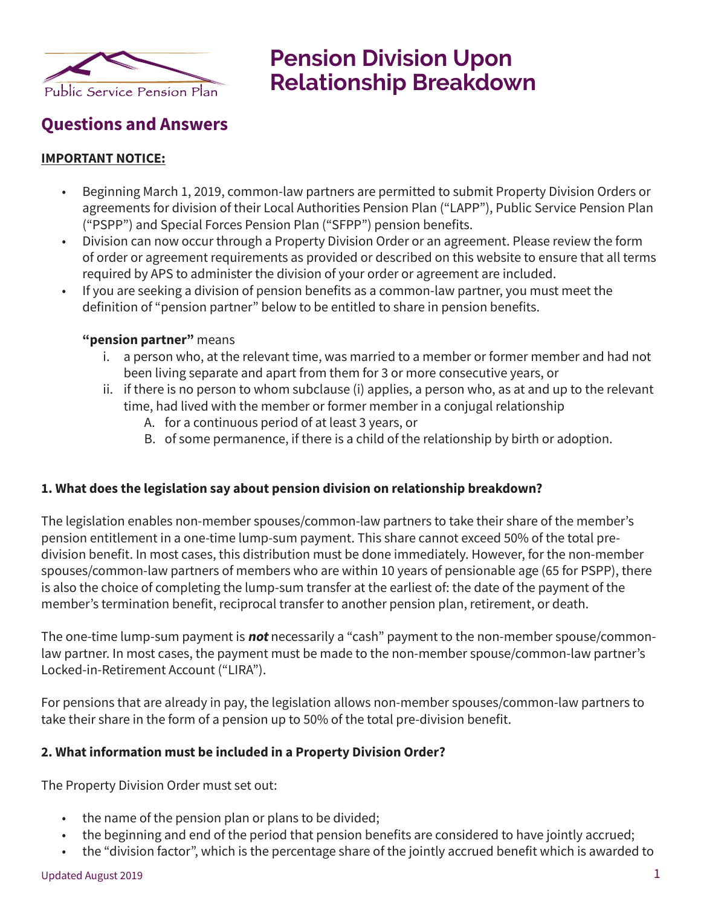

# **Pension Division Upon Relationship Breakdown**

# **Questions and Answers**

#### **IMPORTANT NOTICE:**

- Beginning March 1, 2019, common-law partners are permitted to submit Property Division Orders or agreements for division of their Local Authorities Pension Plan ("LAPP"), Public Service Pension Plan ("PSPP") and Special Forces Pension Plan ("SFPP") pension benefits.
- Division can now occur through a Property Division Order or an agreement. Please review the form of order or agreement requirements as provided or described on this website to ensure that all terms required by APS to administer the division of your order or agreement are included.
- If you are seeking a division of pension benefits as a common-law partner, you must meet the definition of "pension partner" below to be entitled to share in pension benefits.

#### **"pension partner"** means

- i. a person who, at the relevant time, was married to a member or former member and had not been living separate and apart from them for 3 or more consecutive years, or
- ii. if there is no person to whom subclause (i) applies, a person who, as at and up to the relevant time, had lived with the member or former member in a conjugal relationship
	- A. for a continuous period of at least 3 years, or
	- B. of some permanence, if there is a child of the relationship by birth or adoption.

# **1. What does the legislation say about pension division on relationship breakdown?**

The legislation enables non-member spouses/common-law partners to take their share of the member's pension entitlement in a one-time lump-sum payment. This share cannot exceed 50% of the total predivision benefit. In most cases, this distribution must be done immediately. However, for the non-member spouses/common-law partners of members who are within 10 years of pensionable age (65 for PSPP), there is also the choice of completing the lump-sum transfer at the earliest of: the date of the payment of the member's termination benefit, reciprocal transfer to another pension plan, retirement, or death.

The one-time lump-sum payment is **not** necessarily a "cash" payment to the non-member spouse/commonlaw partner. In most cases, the payment must be made to the non-member spouse/common-law partner's Locked-in-Retirement Account ("LIRA").

For pensions that are already in pay, the legislation allows non-member spouses/common-law partners to take their share in the form of a pension up to 50% of the total pre-division benefit.

#### **2. What information must be included in a Property Division Order?**

The Property Division Order must set out:

- the name of the pension plan or plans to be divided;
- the beginning and end of the period that pension benefits are considered to have jointly accrued;
- the "division factor", which is the percentage share of the jointly accrued benefit which is awarded to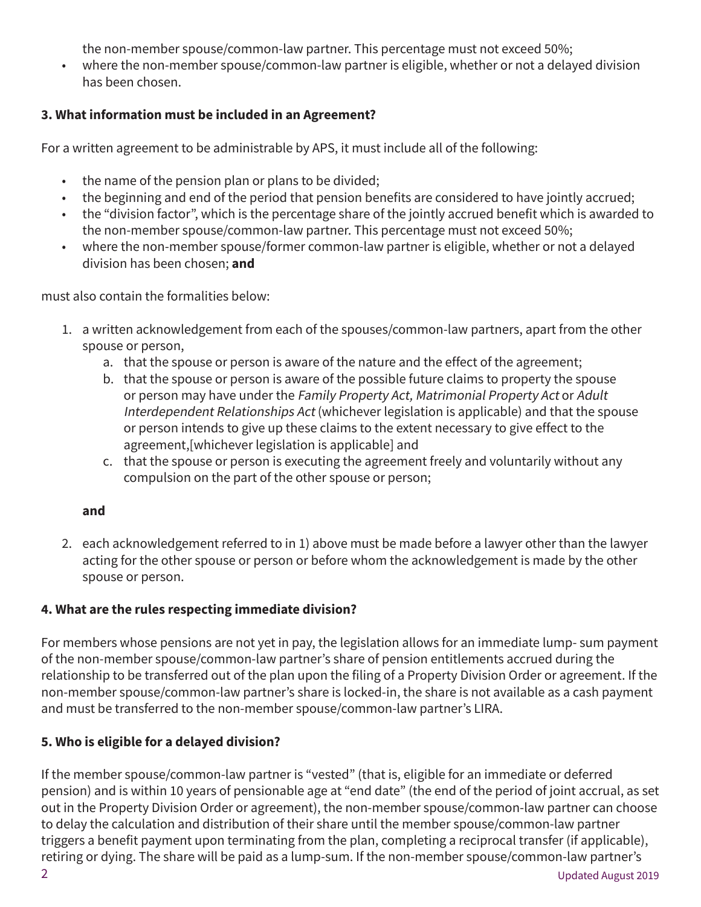the non-member spouse/common-law partner. This percentage must not exceed 50%;

• where the non-member spouse/common-law partner is eligible, whether or not a delayed division has been chosen.

# **3. What information must be included in an Agreement?**

For a written agreement to be administrable by APS, it must include all of the following:

- the name of the pension plan or plans to be divided;
- the beginning and end of the period that pension benefits are considered to have jointly accrued;
- the "division factor", which is the percentage share of the jointly accrued benefit which is awarded to the non-member spouse/common-law partner. This percentage must not exceed 50%;
- where the non-member spouse/former common-law partner is eligible, whether or not a delayed division has been chosen; **and**

must also contain the formalities below:

- 1. a written acknowledgement from each of the spouses/common-law partners, apart from the other spouse or person,
	- a. that the spouse or person is aware of the nature and the effect of the agreement;
	- b. that the spouse or person is aware of the possible future claims to property the spouse or person may have under the Family Property Act, Matrimonial Property Act or Adult Interdependent Relationships Act (whichever legislation is applicable) and that the spouse or person intends to give up these claims to the extent necessary to give effect to the agreement,[whichever legislation is applicable] and
	- c. that the spouse or person is executing the agreement freely and voluntarily without any compulsion on the part of the other spouse or person;

# **and**

2. each acknowledgement referred to in 1) above must be made before a lawyer other than the lawyer acting for the other spouse or person or before whom the acknowledgement is made by the other spouse or person.

# **4. What are the rules respecting immediate division?**

For members whose pensions are not yet in pay, the legislation allows for an immediate lump- sum payment of the non-member spouse/common-law partner's share of pension entitlements accrued during the relationship to be transferred out of the plan upon the filing of a Property Division Order or agreement. If the non-member spouse/common-law partner's share is locked-in, the share is not available as a cash payment and must be transferred to the non-member spouse/common-law partner's LIRA.

# **5. Who is eligible for a delayed division?**

If the member spouse/common-law partner is "vested" (that is, eligible for an immediate or deferred pension) and is within 10 years of pensionable age at "end date" (the end of the period of joint accrual, as set out in the Property Division Order or agreement), the non-member spouse/common-law partner can choose to delay the calculation and distribution of their share until the member spouse/common-law partner triggers a benefit payment upon terminating from the plan, completing a reciprocal transfer (if applicable), retiring or dying. The share will be paid as a lump-sum. If the non-member spouse/common-law partner's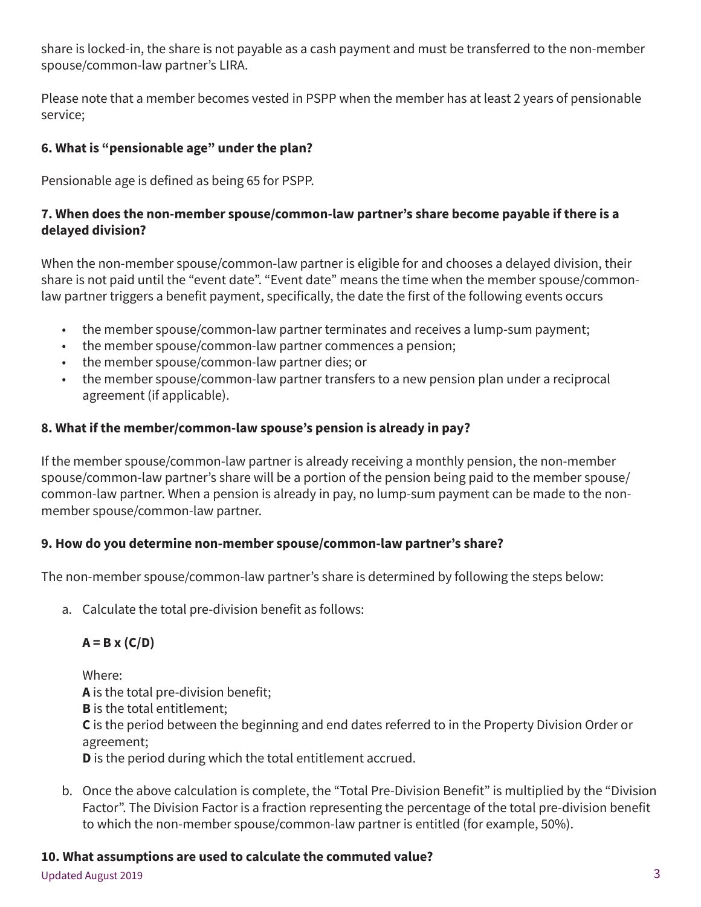share is locked-in, the share is not payable as a cash payment and must be transferred to the non-member spouse/common-law partner's LIRA.

Please note that a member becomes vested in PSPP when the member has at least 2 years of pensionable service;

# **6. What is "pensionable age" under the plan?**

Pensionable age is defined as being 65 for PSPP.

# **7. When does the non-member spouse/common-law partner's share become payable if there is a delayed division?**

When the non-member spouse/common-law partner is eligible for and chooses a delayed division, their share is not paid until the "event date". "Event date" means the time when the member spouse/commonlaw partner triggers a benefit payment, specifically, the date the first of the following events occurs

- the member spouse/common-law partner terminates and receives a lump-sum payment;
- the member spouse/common-law partner commences a pension;
- the member spouse/common-law partner dies; or
- the member spouse/common-law partner transfers to a new pension plan under a reciprocal agreement (if applicable).

# **8. What if the member/common-law spouse's pension is already in pay?**

If the member spouse/common-law partner is already receiving a monthly pension, the non-member spouse/common-law partner's share will be a portion of the pension being paid to the member spouse/ common-law partner. When a pension is already in pay, no lump-sum payment can be made to the nonmember spouse/common-law partner.

# **9. How do you determine non-member spouse/common-law partner's share?**

The non-member spouse/common-law partner's share is determined by following the steps below:

a. Calculate the total pre-division benefit as follows:

# **A = B x (C/D)**

Where: **A** is the total pre-division benefit; **B** is the total entitlement; **C** is the period between the beginning and end dates referred to in the Property Division Order or agreement; **D** is the period during which the total entitlement accrued.

b. Once the above calculation is complete, the "Total Pre-Division Benefit" is multiplied by the "Division Factor". The Division Factor is a fraction representing the percentage of the total pre-division benefit to which the non-member spouse/common-law partner is entitled (for example, 50%).

# **10. What assumptions are used to calculate the commuted value?**

Updated August 2019 3